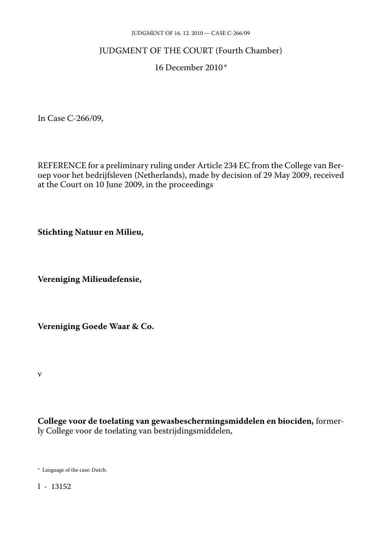#### JUDGMENT OF 16. 12. 2010 — CASE C-266/09

# JUDGMENT OF THE COURT (Fourth Chamber)

#### 16 December 2010\*

In Case C-266/09,

REFERENCE for a preliminary ruling under Article 234 EC from the College van Ber oep voor het bedrijfsleven (Netherlands), made by decision of 29 May 2009, received at the Court on 10 June 2009, in the proceedings

**Stichting Natuur en Milieu,**

**Vereniging Milieudefensie,**

**Vereniging Goede Waar & Co.**

v

**College voor de toelating van gewasbeschermingsmiddelen en biociden,** former ly College voor de toelating van bestrijdingsmiddelen,

\* Language of the case: Dutch.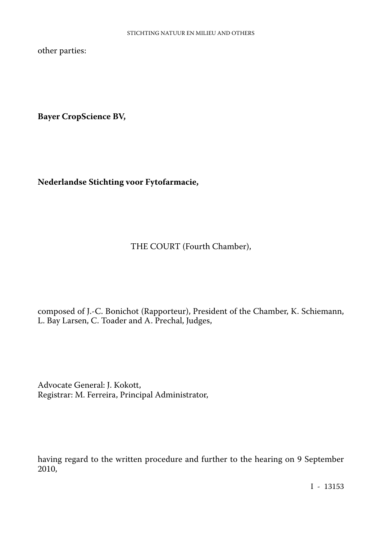other parties:

**Bayer CropScience BV,**

**Nederlandse Stichting voor Fytofarmacie,**

THE COURT (Fourth Chamber),

composed of J.-C. Bonichot (Rapporteur), President of the Chamber, K. Schiemann, L. Bay Larsen, C. Toader and A. Prechal, Judges,

Advocate General: J. Kokott, Registrar: M. Ferreira, Principal Administrator,

having regard to the written procedure and further to the hearing on 9 September 2010,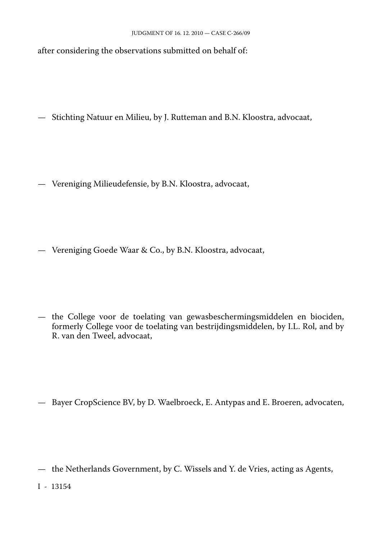after considering the observations submitted on behalf of:

— Stichting Natuur en Milieu, by J. Rutteman and B.N. Kloostra, advocaat,

— Vereniging Milieudefensie, by B.N. Kloostra, advocaat,

— Vereniging Goede Waar & Co., by B.N. Kloostra, advocaat,

— the College voor de toelating van gewasbeschermingsmiddelen en biociden, formerly College voor de toelating van bestrijdingsmiddelen, by I.L. Rol, and by R. van den Tweel, advocaat,

— Bayer CropScience BV, by D. Waelbroeck, E. Antypas and E. Broeren, advocaten,

— the Netherlands Government, by C. Wissels and Y. de Vries, acting as Agents,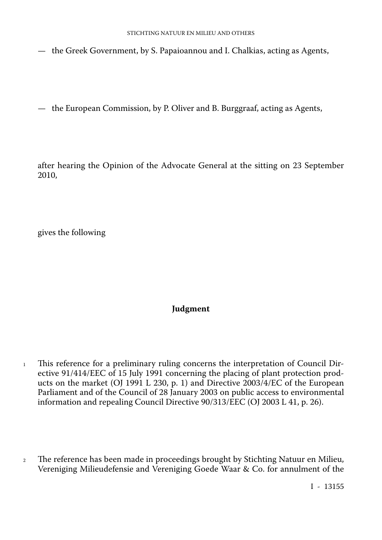- the Greek Government, by S. Papaioannou and I. Chalkias, acting as Agents,
- the European Commission, by P. Oliver and B. Burggraaf, acting as Agents,

after hearing the Opinion of the Advocate General at the sitting on 23 September 2010,

gives the following

# **Judgment**

- <sup>1</sup> This reference for a preliminary ruling concerns the interpretation of Council Directive 91/414/EEC of 15 July 1991 concerning the placing of plant protection prod ucts on the market (OJ 1991 L 230, p. 1) and Directive 2003/4/EC of the European Parliament and of the Council of 28 January 2003 on public access to environmental information and repealing Council Directive 90/313/EEC (OJ 2003 L 41, p. 26).
- <sup>2</sup> The reference has been made in proceedings brought by Stichting Natuur en Milieu, Vereniging Milieudefensie and Vereniging Goede Waar & Co. for annulment of the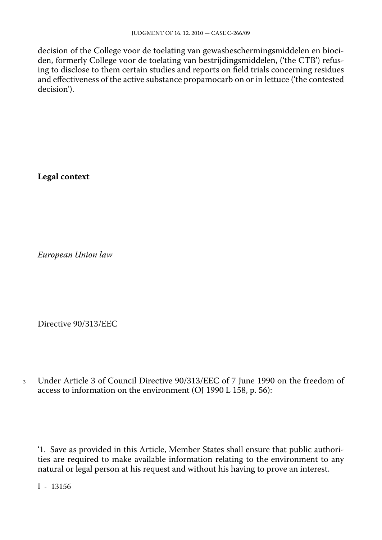decision of the College voor de toelating van gewasbeschermingsmiddelen en bioci den, formerly College voor de toelating van bestrijdingsmiddelen, ('the CTB') refus ing to disclose to them certain studies and reports on field trials concerning residues and effectiveness of the active substance propamocarb on or in lettuce ('the contested decision').

**Legal context**

*European Union law*

Directive 90/313/EEC

<sup>3</sup> Under Article 3 of Council Directive 90/313/EEC of 7 June 1990 on the freedom of access to information on the environment (OJ 1990 L 158, p. 56):

'1. Save as provided in this Article, Member States shall ensure that public authori ties are required to make available information relating to the environment to any natural or legal person at his request and without his having to prove an interest.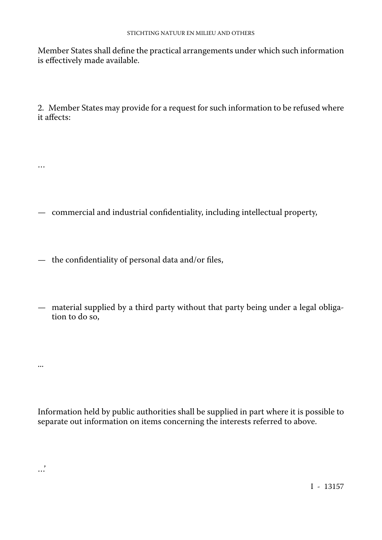Member States shall define the practical arrangements under which such information is effectively made available.

2. Member States may provide for a request for such information to be refused where it affects:

- commercial and industrial confidentiality, including intellectual property,
- the confidentiality of personal data and/or files,

…

...

…'

— material supplied by a third party without that party being under a legal obliga tion to do so,

Information held by public authorities shall be supplied in part where it is possible to separate out information on items concerning the interests referred to above.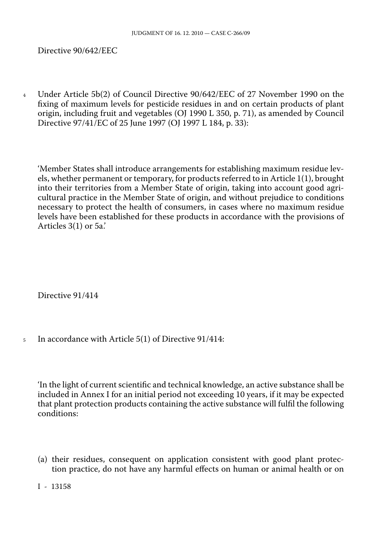Directive 90/642/EEC

<sup>4</sup> Under Article 5b(2) of Council Directive 90/642/EEC of 27 November 1990 on the fixing of maximum levels for pesticide residues in and on certain products of plant origin, including fruit and vegetables (OJ 1990 L 350, p. 71), as amended by Council Directive 97/41/EC of 25 June 1997 (OJ 1997 L 184, p. 33):

'Member States shall introduce arrangements for establishing maximum residue lev els, whether permanent or temporary, for products referred to in Article 1(1), brought into their territories from a Member State of origin, taking into account good agri cultural practice in the Member State of origin, and without prejudice to conditions necessary to protect the health of consumers, in cases where no maximum residue levels have been established for these products in accordance with the provisions of Articles 3(1) or 5a.'

Directive 91/414

<sup>5</sup> In accordance with Article 5(1) of Directive 91/414:

'In the light of current scientific and technical knowledge, an active substance shall be included in Annex I for an initial period not exceeding 10 years, if it may be expected that plant protection products containing the active substance will fulfil the following conditions:

(a) their residues, consequent on application consistent with good plant protec tion practice, do not have any harmful effects on human or animal health or on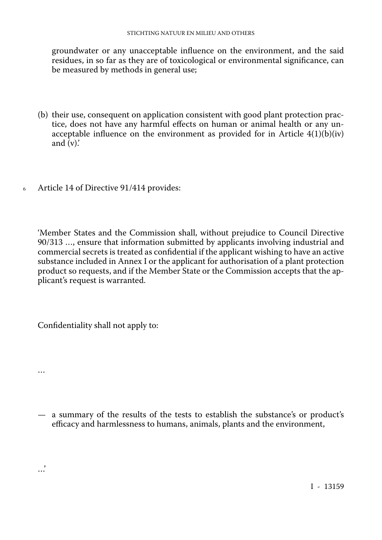groundwater or any unacceptable influence on the environment, and the said residues, in so far as they are of toxicological or environmental significance, can be measured by methods in general use;

- (b) their use, consequent on application consistent with good plant protection prac tice, does not have any harmful effects on human or animal health or any un acceptable influence on the environment as provided for in Article  $4(1)(b)(iv)$ and  $(v)$ .
- <sup>6</sup> Article 14 of Directive 91/414 provides:

'Member States and the Commission shall, without prejudice to Council Directive 90/313 …, ensure that information submitted by applicants involving industrial and commercial secrets is treated as confidential if the applicant wishing to have an active substance included in Annex I or the applicant for authorisation of a plant protection product so requests, and if the Member State or the Commission accepts that the ap plicant's request is warranted.

Confidentiality shall not apply to:

…

…'

— a summary of the results of the tests to establish the substance's or product's efficacy and harmlessness to humans, animals, plants and the environment,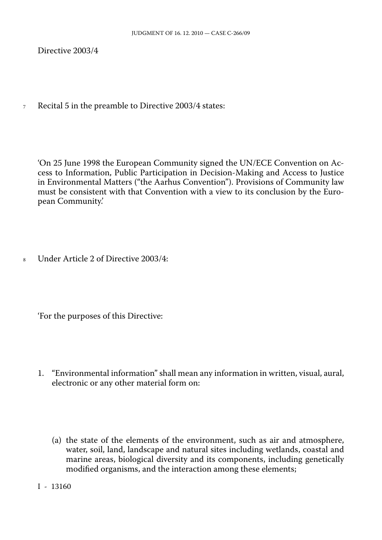Directive 2003/4

<sup>7</sup> Recital 5 in the preamble to Directive 2003/4 states:

'On 25 June 1998 the European Community signed the UN/ECE Convention on Ac cess to Information, Public Participation in Decision-Making and Access to Justice in Environmental Matters ("the Aarhus Convention"). Provisions of Community law must be consistent with that Convention with a view to its conclusion by the Euro pean Community.'

<sup>8</sup> Under Article 2 of Directive 2003/4:

'For the purposes of this Directive:

- 1. "Environmental information" shall mean any information in written, visual, aural, electronic or any other material form on:
	- (a) the state of the elements of the environment, such as air and atmosphere, water, soil, land, landscape and natural sites including wetlands, coastal and marine areas, biological diversity and its components, including genetically modified organisms, and the interaction among these elements;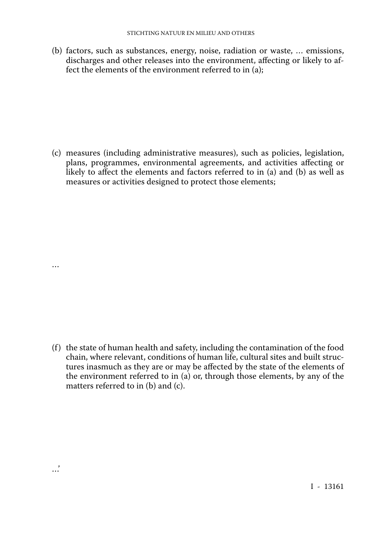(b) factors, such as substances, energy, noise, radiation or waste, … emissions, discharges and other releases into the environment, affecting or likely to af fect the elements of the environment referred to in (a);

(c) measures (including administrative measures), such as policies, legislation, plans, programmes, environmental agreements, and activities affecting or likely to affect the elements and factors referred to in (a) and (b) as well as measures or activities designed to protect those elements;

…

…'

(f) the state of human health and safety, including the contamination of the food chain, where relevant, conditions of human life, cultural sites and built struc tures inasmuch as they are or may be affected by the state of the elements of the environment referred to in (a) or, through those elements, by any of the matters referred to in (b) and (c).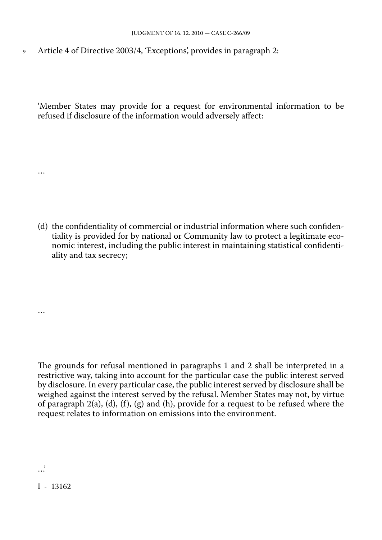<sup>9</sup> Article 4 of Directive 2003/4, 'Exceptions', provides in paragraph 2:

'Member States may provide for a request for environmental information to be refused if disclosure of the information would adversely affect:

(d) the confidentiality of commercial or industrial information where such confiden tiality is provided for by national or Community law to protect a legitimate eco nomic interest, including the public interest in maintaining statistical confidenti ality and tax secrecy;

The grounds for refusal mentioned in paragraphs 1 and 2 shall be interpreted in a restrictive way, taking into account for the particular case the public interest served by disclosure. In every particular case, the public interest served by disclosure shall be weighed against the interest served by the refusal. Member States may not, by virtue of paragraph  $2(a)$ ,  $(d)$ ,  $(f)$ ,  $(g)$  and  $(h)$ , provide for a request to be refused where the request relates to information on emissions into the environment.

…

…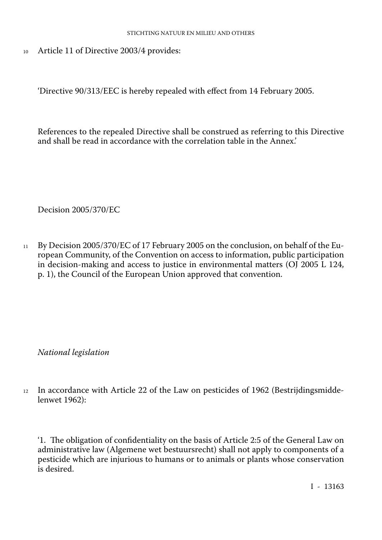<sup>10</sup> Article 11 of Directive 2003/4 provides:

'Directive 90/313/EEC is hereby repealed with effect from 14 February 2005.

References to the repealed Directive shall be construed as referring to this Directive and shall be read in accordance with the correlation table in the Annex.'

Decision 2005/370/EC

<sup>11</sup> By Decision 2005/370/EC of 17 February 2005 on the conclusion, on behalf of the Eu ropean Community, of the Convention on access to information, public participation in decision-making and access to justice in environmental matters (OJ 2005 L 124, p. 1), the Council of the European Union approved that convention.

*National legislation*

<sup>12</sup> In accordance with Article 22 of the Law on pesticides of 1962 (Bestrijdingsmidde lenwet 1962):

'1. The obligation of confidentiality on the basis of Article 2:5 of the General Law on administrative law (Algemene wet bestuursrecht) shall not apply to components of a pesticide which are injurious to humans or to animals or plants whose conservation is desired.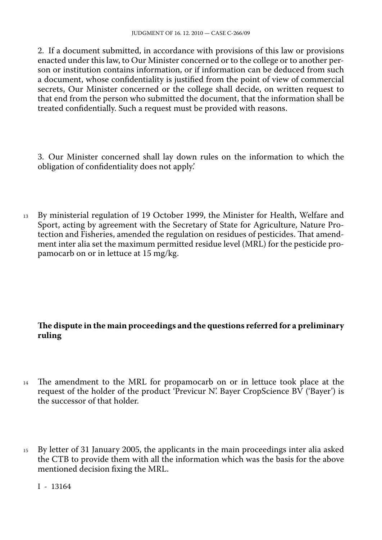2. If a document submitted, in accordance with provisions of this law or provisions enacted under this law, to Our Minister concerned or to the college or to another per son or institution contains information, or if information can be deduced from such a document, whose confidentiality is justified from the point of view of commercial secrets, Our Minister concerned or the college shall decide, on written request to that end from the person who submitted the document, that the information shall be treated confidentially. Such a request must be provided with reasons.

3. Our Minister concerned shall lay down rules on the information to which the obligation of confidentiality does not apply.'

<sup>13</sup> By ministerial regulation of 19 October 1999, the Minister for Health, Welfare and Sport, acting by agreement with the Secretary of State for Agriculture, Nature Pro tection and Fisheries, amended the regulation on residues of pesticides. That amend ment inter alia set the maximum permitted residue level (MRL) for the pesticide pro pamocarb on or in lettuce at 15 mg/kg.

# **The dispute in the main proceedings and the questions referred for a preliminary ruling**

- <sup>14</sup> The amendment to the MRL for propamocarb on or in lettuce took place at the request of the holder of the product 'Previcur N'. Bayer CropScience BV ('Bayer') is the successor of that holder.
- <sup>15</sup> By letter of 31 January 2005, the applicants in the main proceedings inter alia asked the CTB to provide them with all the information which was the basis for the above mentioned decision fixing the MRL.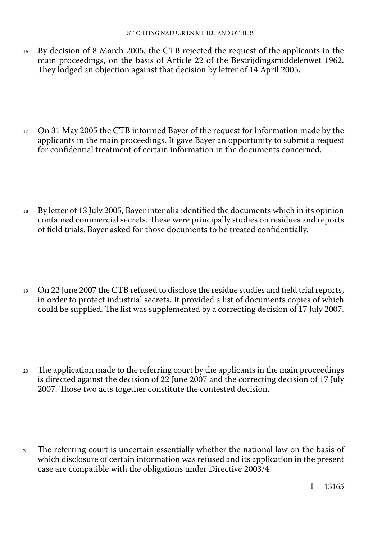- <sup>16</sup> By decision of 8 March 2005, the CTB rejected the request of the applicants in the main proceedings, on the basis of Article 22 of the Bestrijdingsmiddelenwet 1962. They lodged an objection against that decision by letter of 14 April 2005.
- <sup>17</sup> On 31 May 2005 the CTB informed Bayer of the request for information made by the applicants in the main proceedings. It gave Bayer an opportunity to submit a request for confidential treatment of certain information in the documents concerned.
- <sup>18</sup> By letter of 13 July 2005, Bayer inter alia identified the documents which in its opinion contained commercial secrets. These were principally studies on residues and reports of field trials. Bayer asked for those documents to be treated confidentially.
- <sup>19</sup> On 22 June 2007 the CTB refused to disclose the residue studies and field trial reports, in order to protect industrial secrets. It provided a list of documents copies of which could be supplied. The list was supplemented by a correcting decision of 17 July 2007.
- <sup>20</sup> The application made to the referring court by the applicants in the main proceedings is directed against the decision of 22 June 2007 and the correcting decision of 17 July 2007. Those two acts together constitute the contested decision.
- <sup>21</sup> The referring court is uncertain essentially whether the national law on the basis of which disclosure of certain information was refused and its application in the present case are compatible with the obligations under Directive 2003/4.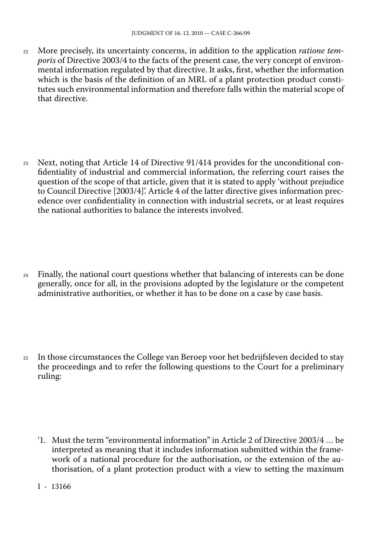<sup>22</sup> More precisely, its uncertainty concerns, in addition to the application *ratione tem poris* of Directive 2003/4 to the facts of the present case, the very concept of environ mental information regulated by that directive. It asks, first, whether the information which is the basis of the definition of an MRL of a plant protection product consti tutes such environmental information and therefore falls within the material scope of that directive.

<sup>23</sup> Next, noting that Article 14 of Directive 91/414 provides for the unconditional con fidentiality of industrial and commercial information, the referring court raises the question of the scope of that article, given that it is stated to apply 'without prejudice to Council Directive [2003/4]'. Article 4 of the latter directive gives information prec edence over confidentiality in connection with industrial secrets, or at least requires the national authorities to balance the interests involved.

- $24$  Finally, the national court questions whether that balancing of interests can be done generally, once for all, in the provisions adopted by the legislature or the competent administrative authorities, or whether it has to be done on a case by case basis.
- <sup>25</sup> In those circumstances the College van Beroep voor het bedrijfsleven decided to stay the proceedings and to refer the following questions to the Court for a preliminary ruling:
	- '1. Must the term "environmental information" in Article 2 of Directive 2003/4 … be interpreted as meaning that it includes information submitted within the frame work of a national procedure for the authorisation, or the extension of the au thorisation, of a plant protection product with a view to setting the maximum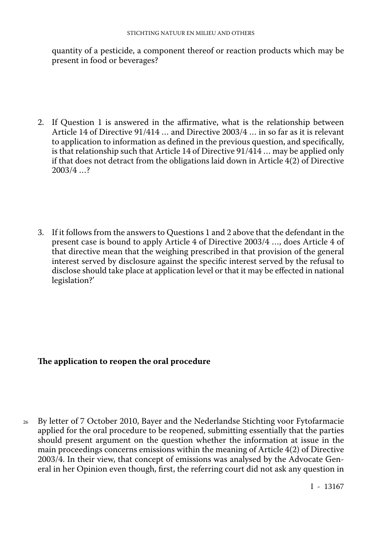quantity of a pesticide, a component thereof or reaction products which may be present in food or beverages?

- 2. If Question 1 is answered in the affirmative, what is the relationship between Article 14 of Directive 91/414 … and Directive 2003/4 … in so far as it is relevant to application to information as defined in the previous question, and specifically, is that relationship such that Article 14 of Directive 91/414 … may be applied only if that does not detract from the obligations laid down in Article 4(2) of Directive 2003/4 …?
- 3. If it follows from the answers to Questions 1 and 2 above that the defendant in the present case is bound to apply Article 4 of Directive 2003/4 …, does Article 4 of that directive mean that the weighing prescribed in that provision of the general interest served by disclosure against the specific interest served by the refusal to disclose should take place at application level or that it may be effected in national legislation?'

# **The application to reopen the oral procedure**

<sup>26</sup> By letter of 7 October 2010, Bayer and the Nederlandse Stichting voor Fytofarmacie applied for the oral procedure to be reopened, submitting essentially that the parties should present argument on the question whether the information at issue in the main proceedings concerns emissions within the meaning of Article 4(2) of Directive 2003/4. In their view, that concept of emissions was analysed by the Advocate Gen eral in her Opinion even though, first, the referring court did not ask any question in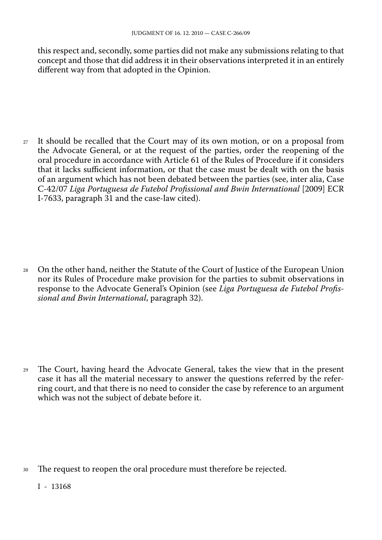this respect and, secondly, some parties did not make any submissions relating to that concept and those that did address it in their observations interpreted it in an entirely different way from that adopted in the Opinion.

<sup>27</sup> It should be recalled that the Court may of its own motion, or on a proposal from the Advocate General, or at the request of the parties, order the reopening of the oral procedure in accordance with Article 61 of the Rules of Procedure if it considers that it lacks sufficient information, or that the case must be dealt with on the basis of an argument which has not been debated between the parties (see, inter alia, Case C-42/07 *Liga Portuguesa de Futebol Profissional and Bwin International* [2009] ECR I-7633, paragraph 31 and the case-law cited).

<sup>28</sup> On the other hand, neither the Statute of the Court of Justice of the European Union nor its Rules of Procedure make provision for the parties to submit observations in response to the Advocate General's Opinion (see *Liga Portuguesa de Futebol Profis sional and Bwin International*, paragraph 32).

<sup>29</sup> The Court, having heard the Advocate General, takes the view that in the present case it has all the material necessary to answer the questions referred by the refer ring court, and that there is no need to consider the case by reference to an argument which was not the subject of debate before it.

<sup>30</sup> The request to reopen the oral procedure must therefore be rejected.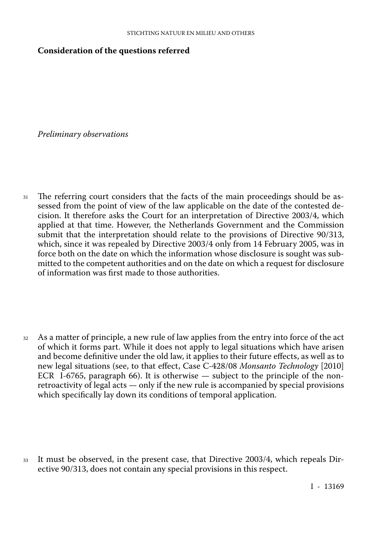#### **Consideration of the questions referred**

*Preliminary observations*

<sup>31</sup> The referring court considers that the facts of the main proceedings should be as sessed from the point of view of the law applicable on the date of the contested de cision. It therefore asks the Court for an interpretation of Directive 2003/4, which applied at that time. However, the Netherlands Government and the Commission submit that the interpretation should relate to the provisions of Directive 90/313, which, since it was repealed by Directive 2003/4 only from 14 February 2005, was in force both on the date on which the information whose disclosure is sought was sub mitted to the competent authorities and on the date on which a request for disclosure of information was first made to those authorities.

<sup>32</sup> As a matter of principle, a new rule of law applies from the entry into force of the act of which it forms part. While it does not apply to legal situations which have arisen and become definitive under the old law, it applies to their future effects, as well as to new legal situations (see, to that effect, Case C-428/08 *Monsanto Technology* [2010] ECR I-6765, paragraph 66). It is otherwise — subject to the principle of the nonretroactivity of legal acts — only if the new rule is accompanied by special provisions which specifically lay down its conditions of temporal application.

<sup>33</sup> It must be observed, in the present case, that Directive 2003/4, which repeals Directive 90/313, does not contain any special provisions in this respect.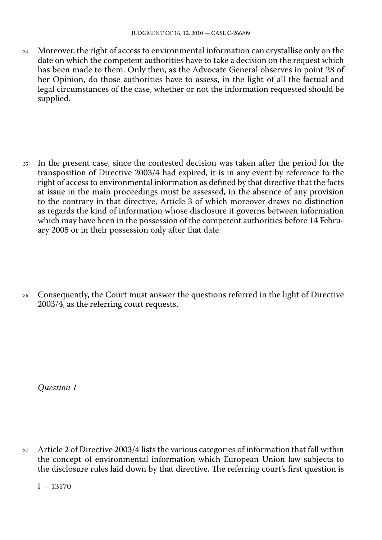<sup>34</sup> Moreover, the right of access to environmental information can crystallise only on the date on which the competent authorities have to take a decision on the request which has been made to them. Only then, as the Advocate General observes in point 28 of her Opinion, do those authorities have to assess, in the light of all the factual and legal circumstances of the case, whether or not the information requested should be supplied.

<sup>35</sup> In the present case, since the contested decision was taken after the period for the transposition of Directive 2003/4 had expired, it is in any event by reference to the right of access to environmental information as defined by that directive that the facts at issue in the main proceedings must be assessed, in the absence of any provision to the contrary in that directive, Article 3 of which moreover draws no distinction as regards the kind of information whose disclosure it governs between information which may have been in the possession of the competent authorities before 14 Febru ary 2005 or in their possession only after that date.

<sup>36</sup> Consequently, the Court must answer the questions referred in the light of Directive 2003/4, as the referring court requests.

*Question 1*

<sup>37</sup> Article 2 of Directive 2003/4 lists the various categories of information that fall within the concept of environmental information which European Union law subjects to the disclosure rules laid down by that directive. The referring court's first question is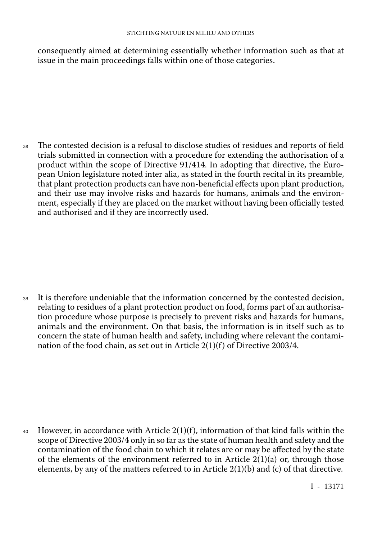consequently aimed at determining essentially whether information such as that at issue in the main proceedings falls within one of those categories.

<sup>38</sup> The contested decision is a refusal to disclose studies of residues and reports of field trials submitted in connection with a procedure for extending the authorisation of a product within the scope of Directive 91/414. In adopting that directive, the Euro pean Union legislature noted inter alia, as stated in the fourth recital in its preamble, that plant protection products can have non-beneficial effects upon plant production, and their use may involve risks and hazards for humans, animals and the environ ment, especially if they are placed on the market without having been officially tested and authorised and if they are incorrectly used.

<sup>39</sup> It is therefore undeniable that the information concerned by the contested decision, relating to residues of a plant protection product on food, forms part of an authorisa tion procedure whose purpose is precisely to prevent risks and hazards for humans, animals and the environment. On that basis, the information is in itself such as to concern the state of human health and safety, including where relevant the contami nation of the food chain, as set out in Article 2(1)(f) of Directive 2003/4.

40 However, in accordance with Article  $2(1)(f)$ , information of that kind falls within the scope of Directive 2003/4 only in so far as the state of human health and safety and the contamination of the food chain to which it relates are or may be affected by the state of the elements of the environment referred to in Article  $2(1)(a)$  or, through those elements, by any of the matters referred to in Article  $2(1)(b)$  and (c) of that directive.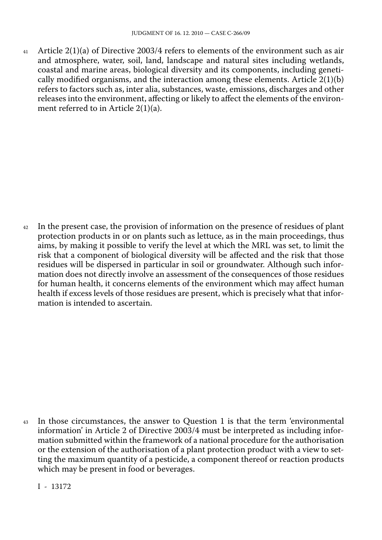41 Article  $2(1)(a)$  of Directive 2003/4 refers to elements of the environment such as air and atmosphere, water, soil, land, landscape and natural sites including wetlands, coastal and marine areas, biological diversity and its components, including geneti cally modified organisms, and the interaction among these elements. Article 2(1)(b) refers to factors such as, inter alia, substances, waste, emissions, discharges and other releases into the environment, affecting or likely to affect the elements of the environ ment referred to in Article 2(1)(a).

<sup>42</sup> In the present case, the provision of information on the presence of residues of plant protection products in or on plants such as lettuce, as in the main proceedings, thus aims, by making it possible to verify the level at which the MRL was set, to limit the risk that a component of biological diversity will be affected and the risk that those residues will be dispersed in particular in soil or groundwater. Although such infor mation does not directly involve an assessment of the consequences of those residues for human health, it concerns elements of the environment which may affect human health if excess levels of those residues are present, which is precisely what that infor mation is intended to ascertain.

<sup>43</sup> In those circumstances, the answer to Question 1 is that the term 'environmental information' in Article 2 of Directive 2003/4 must be interpreted as including infor mation submitted within the framework of a national procedure for the authorisation or the extension of the authorisation of a plant protection product with a view to set ting the maximum quantity of a pesticide, a component thereof or reaction products which may be present in food or beverages.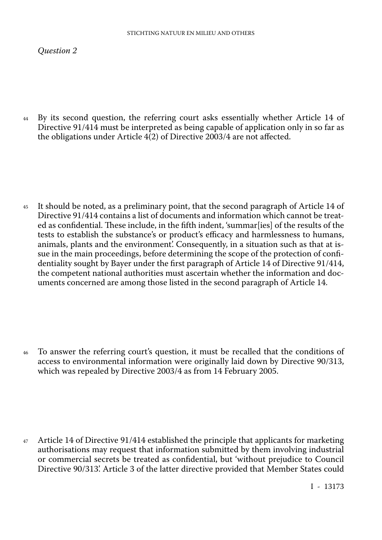#### *Question 2*

<sup>44</sup> By its second question, the referring court asks essentially whether Article 14 of Directive 91/414 must be interpreted as being capable of application only in so far as the obligations under Article 4(2) of Directive 2003/4 are not affected.

<sup>45</sup> It should be noted, as a preliminary point, that the second paragraph of Article 14 of Directive 91/414 contains a list of documents and information which cannot be treat ed as confidential. These include, in the fifth indent, 'summar[ies] of the results of the tests to establish the substance's or product's efficacy and harmlessness to humans, animals, plants and the environment'. Consequently, in a situation such as that at is sue in the main proceedings, before determining the scope of the protection of coni dentiality sought by Bayer under the first paragraph of Article 14 of Directive 91/414, the competent national authorities must ascertain whether the information and doc uments concerned are among those listed in the second paragraph of Article 14.

<sup>46</sup> To answer the referring court's question, it must be recalled that the conditions of access to environmental information were originally laid down by Directive 90/313, which was repealed by Directive 2003/4 as from 14 February 2005.

<sup>47</sup> Article 14 of Directive 91/414 established the principle that applicants for marketing authorisations may request that information submitted by them involving industrial or commercial secrets be treated as confidential, but 'without prejudice to Council Directive 90/313'. Article 3 of the latter directive provided that Member States could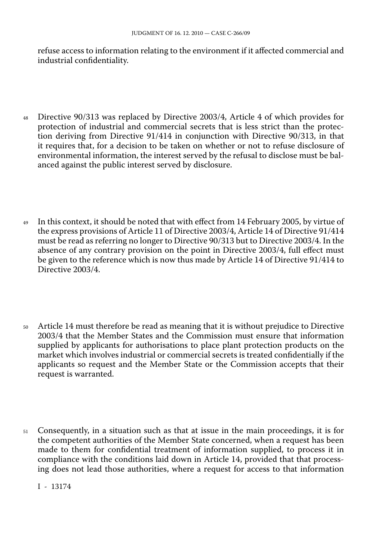refuse access to information relating to the environment if it affected commercial and industrial confidentiality.

- <sup>48</sup> Directive 90/313 was replaced by Directive 2003/4, Article 4 of which provides for protection of industrial and commercial secrets that is less strict than the protec tion deriving from Directive 91/414 in conjunction with Directive 90/313, in that it requires that, for a decision to be taken on whether or not to refuse disclosure of environmental information, the interest served by the refusal to disclose must be bal anced against the public interest served by disclosure.
- <sup>49</sup> In this context, it should be noted that with effect from 14 February 2005, by virtue of the express provisions of Article 11 of Directive 2003/4, Article 14 of Directive 91/414 must be read as referring no longer to Directive 90/313 but to Directive 2003/4. In the absence of any contrary provision on the point in Directive 2003/4, full effect must be given to the reference which is now thus made by Article 14 of Directive 91/414 to Directive 2003/4.
- <sup>50</sup> Article 14 must therefore be read as meaning that it is without prejudice to Directive 2003/4 that the Member States and the Commission must ensure that information supplied by applicants for authorisations to place plant protection products on the market which involves industrial or commercial secrets is treated confidentially if the applicants so request and the Member State or the Commission accepts that their request is warranted.
- <sup>51</sup> Consequently, in a situation such as that at issue in the main proceedings, it is for the competent authorities of the Member State concerned, when a request has been made to them for confidential treatment of information supplied, to process it in compliance with the conditions laid down in Article 14, provided that that process ing does not lead those authorities, where a request for access to that information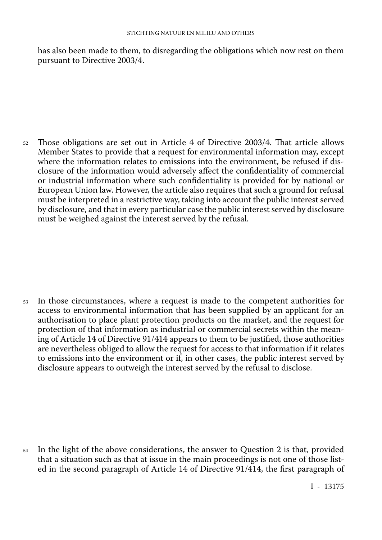has also been made to them, to disregarding the obligations which now rest on them pursuant to Directive 2003/4.

<sup>52</sup> Those obligations are set out in Article 4 of Directive 2003/4. That article allows Member States to provide that a request for environmental information may, except where the information relates to emissions into the environment, be refused if dis closure of the information would adversely affect the confidentiality of commercial or industrial information where such confidentiality is provided for by national or European Union law. However, the article also requires that such a ground for refusal must be interpreted in a restrictive way, taking into account the public interest served by disclosure, and that in every particular case the public interest served by disclosure must be weighed against the interest served by the refusal.

<sup>53</sup> In those circumstances, where a request is made to the competent authorities for access to environmental information that has been supplied by an applicant for an authorisation to place plant protection products on the market, and the request for protection of that information as industrial or commercial secrets within the mean ing of Article 14 of Directive 91/414 appears to them to be justified, those authorities are nevertheless obliged to allow the request for access to that information if it relates to emissions into the environment or if, in other cases, the public interest served by disclosure appears to outweigh the interest served by the refusal to disclose.

<sup>54</sup> In the light of the above considerations, the answer to Question 2 is that, provided that a situation such as that at issue in the main proceedings is not one of those list ed in the second paragraph of Article 14 of Directive 91/414, the first paragraph of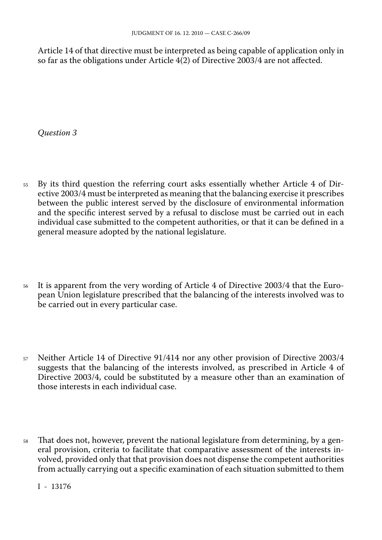Article 14 of that directive must be interpreted as being capable of application only in so far as the obligations under Article 4(2) of Directive 2003/4 are not affected.

*Question 3*

- <sup>55</sup> By its third question the referring court asks essentially whether Article 4 of Directive 2003/4 must be interpreted as meaning that the balancing exercise it prescribes between the public interest served by the disclosure of environmental information and the specific interest served by a refusal to disclose must be carried out in each individual case submitted to the competent authorities, or that it can be defined in a general measure adopted by the national legislature.
- <sup>56</sup> It is apparent from the very wording of Article 4 of Directive 2003/4 that the Euro pean Union legislature prescribed that the balancing of the interests involved was to be carried out in every particular case.
- <sup>57</sup> Neither Article 14 of Directive 91/414 nor any other provision of Directive 2003/4 suggests that the balancing of the interests involved, as prescribed in Article 4 of Directive 2003/4, could be substituted by a measure other than an examination of those interests in each individual case.
- <sup>58</sup> That does not, however, prevent the national legislature from determining, by a gen eral provision, criteria to facilitate that comparative assessment of the interests in volved, provided only that that provision does not dispense the competent authorities from actually carrying out a specific examination of each situation submitted to them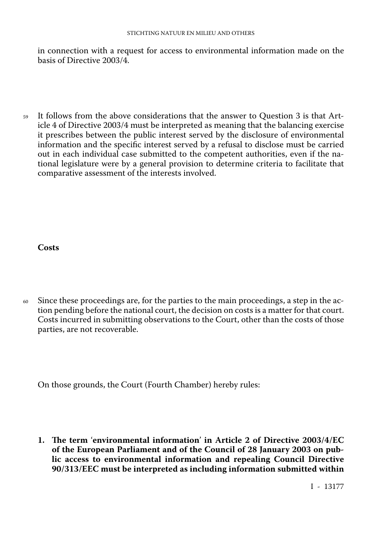#### STICHTING NATUUR EN MILIEU AND OTHERS

in connection with a request for access to environmental information made on the basis of Directive 2003/4.

<sup>59</sup> It follows from the above considerations that the answer to Question 3 is that Article 4 of Directive 2003/4 must be interpreted as meaning that the balancing exercise it prescribes between the public interest served by the disclosure of environmental information and the specific interest served by a refusal to disclose must be carried out in each individual case submitted to the competent authorities, even if the na tional legislature were by a general provision to determine criteria to facilitate that comparative assessment of the interests involved.

**Costs**

 $60\sigma$  Since these proceedings are, for the parties to the main proceedings, a step in the action pending before the national court, the decision on costs is a matter for that court. Costs incurred in submitting observations to the Court, other than the costs of those parties, are not recoverable.

On those grounds, the Court (Fourth Chamber) hereby rules:

**1. The term** '**environmental information**' **in Article 2 of Directive 2003/4/EC of the European Parliament and of the Council of 28 January 2003 on pub lic access to environmental information and repealing Council Directive 90/313/EEC must be interpreted as including information submitted within**